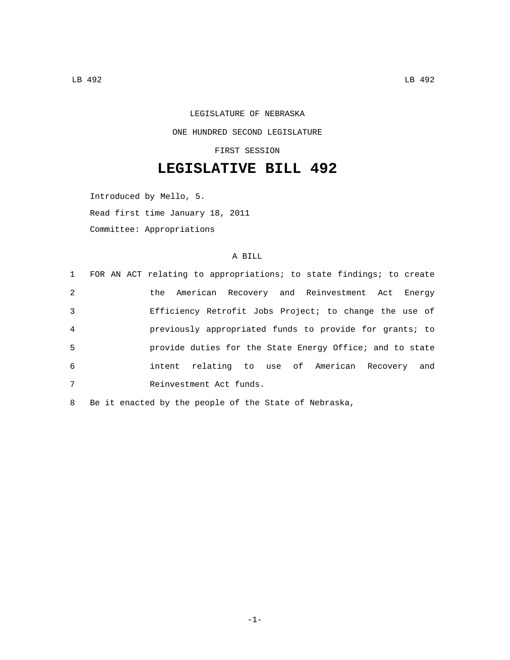LEGISLATURE OF NEBRASKA ONE HUNDRED SECOND LEGISLATURE

FIRST SESSION

## **LEGISLATIVE BILL 492**

Introduced by Mello, 5.

Read first time January 18, 2011

Committee: Appropriations

## A BILL

|                | 1 FOR AN ACT relating to appropriations; to state findings; to create |
|----------------|-----------------------------------------------------------------------|
| 2              | the American Recovery and Reinvestment Act Energy                     |
| 3              | Efficiency Retrofit Jobs Project; to change the use of                |
| $\overline{4}$ | previously appropriated funds to provide for grants; to               |
| 5              | provide duties for the State Energy Office; and to state              |
| 6              | intent relating to use of American Recovery and                       |
| 7              | Reinvestment Act funds.                                               |

8 Be it enacted by the people of the State of Nebraska,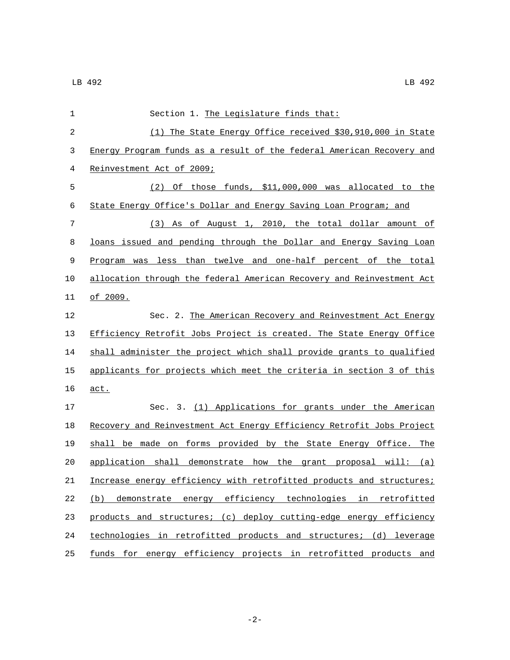| 1           | Section 1. The Legislature finds that:                                |
|-------------|-----------------------------------------------------------------------|
| 2           | (1) The State Energy Office received \$30,910,000 in State            |
| 3           | Energy Program funds as a result of the federal American Recovery and |
| 4           | Reinvestment Act of 2009;                                             |
| 5           | $(2)$ Of those funds, \$11,000,000 was allocated to the               |
| 6           | State Energy Office's Dollar and Energy Saving Loan Program; and      |
| 7           | (3) As of August 1, 2010, the total dollar amount of                  |
| 8           | loans issued and pending through the Dollar and Energy Saving Loan    |
| $\mathsf 9$ | Program was less than twelve and one-half percent of the total        |
| 10          | allocation through the federal American Recovery and Reinvestment Act |
| 11          | <u>of 2009.</u>                                                       |
| 12          | Sec. 2. The American Recovery and Reinvestment Act Energy             |
| 13          | Efficiency Retrofit Jobs Project is created. The State Energy Office  |
| 14          | shall administer the project which shall provide grants to qualified  |
| 15          | applicants for projects which meet the criteria in section 3 of this  |
| 16          | act.                                                                  |
| 17          | Sec. 3. (1) Applications for grants under the American                |
| 18          | Recovery and Reinvestment Act Energy Efficiency Retrofit Jobs Project |
| 19          | shall be made on forms provided by the State Energy Office. The       |
| 20          | application shall demonstrate how the grant proposal will: $(a)$      |
| 21          | Increase energy efficiency with retrofitted products and structures;  |
| 22          | (b) demonstrate energy efficiency technologies in retrofitted         |
| 23          | products and structures; (c) deploy cutting-edge energy efficiency    |
| 24          | technologies in retrofitted products and structures; (d) leverage     |
| 25          | funds for energy efficiency projects in retrofitted products and      |